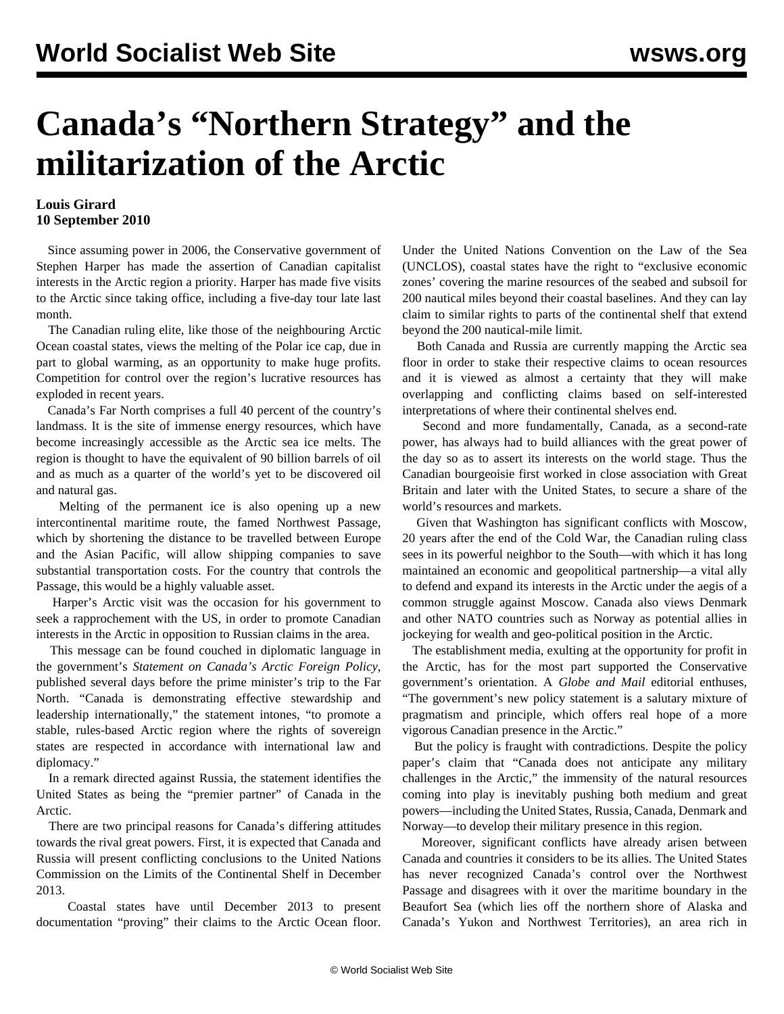## **Canada's "Northern Strategy" and the militarization of the Arctic**

## **Louis Girard 10 September 2010**

 Since assuming power in 2006, the Conservative government of Stephen Harper has made the assertion of Canadian capitalist interests in the Arctic region a priority. Harper has made five visits to the Arctic since taking office, including a five-day tour late last month.

 The Canadian ruling elite, like those of the neighbouring Arctic Ocean coastal states, views the melting of the Polar ice cap, due in part to global warming, as an opportunity to make huge profits. Competition for control over the region's lucrative resources has exploded in recent years.

 Canada's Far North comprises a full 40 percent of the country's landmass. It is the site of immense energy resources, which have become increasingly accessible as the Arctic sea ice melts. The region is thought to have the equivalent of 90 billion barrels of oil and as much as a quarter of the world's yet to be discovered oil and natural gas.

 Melting of the permanent ice is also opening up a new intercontinental maritime route, the famed Northwest Passage, which by shortening the distance to be travelled between Europe and the Asian Pacific, will allow shipping companies to save substantial transportation costs. For the country that controls the Passage, this would be a highly valuable asset.

 Harper's Arctic visit was the occasion for his government to seek a rapprochement with the US, in order to promote Canadian interests in the Arctic in opposition to Russian claims in the area.

 This message can be found couched in diplomatic language in the government's *Statement on Canada's Arctic Foreign Policy*, published several days before the prime minister's trip to the Far North. "Canada is demonstrating effective stewardship and leadership internationally," the statement intones, "to promote a stable, rules-based Arctic region where the rights of sovereign states are respected in accordance with international law and diplomacy."

 In a remark directed against Russia, the statement identifies the United States as being the "premier partner" of Canada in the Arctic.

 There are two principal reasons for Canada's differing attitudes towards the rival great powers. First, it is expected that Canada and Russia will present conflicting conclusions to the United Nations Commission on the Limits of the Continental Shelf in December 2013.

 Coastal states have until December 2013 to present documentation "proving" their claims to the Arctic Ocean floor. Under the United Nations Convention on the Law of the Sea (UNCLOS), coastal states have the right to "exclusive economic zones' covering the marine resources of the seabed and subsoil for 200 nautical miles beyond their coastal baselines. And they can lay claim to similar rights to parts of the continental shelf that extend beyond the 200 nautical-mile limit.

 Both Canada and Russia are currently mapping the Arctic sea floor in order to stake their respective claims to ocean resources and it is viewed as almost a certainty that they will make overlapping and conflicting claims based on self-interested interpretations of where their continental shelves end.

 Second and more fundamentally, Canada, as a second-rate power, has always had to build alliances with the great power of the day so as to assert its interests on the world stage. Thus the Canadian bourgeoisie first worked in close association with Great Britain and later with the United States, to secure a share of the world's resources and markets.

 Given that Washington has significant conflicts with Moscow, 20 years after the end of the Cold War, the Canadian ruling class sees in its powerful neighbor to the South—with which it has long maintained an economic and geopolitical partnership—a vital ally to defend and expand its interests in the Arctic under the aegis of a common struggle against Moscow. Canada also views Denmark and other NATO countries such as Norway as potential allies in jockeying for wealth and geo-political position in the Arctic.

 The establishment media, exulting at the opportunity for profit in the Arctic, has for the most part supported the Conservative government's orientation. A *Globe and Mail* editorial enthuses, "The government's new policy statement is a salutary mixture of pragmatism and principle, which offers real hope of a more vigorous Canadian presence in the Arctic."

 But the policy is fraught with contradictions. Despite the policy paper's claim that "Canada does not anticipate any military challenges in the Arctic," the immensity of the natural resources coming into play is inevitably pushing both medium and great powers—including the United States, Russia, Canada, Denmark and Norway—to develop their military presence in this region.

 Moreover, significant conflicts have already arisen between Canada and countries it considers to be its allies. The United States has never recognized Canada's control over the Northwest Passage and disagrees with it over the maritime boundary in the Beaufort Sea (which lies off the northern shore of Alaska and Canada's Yukon and Northwest Territories), an area rich in